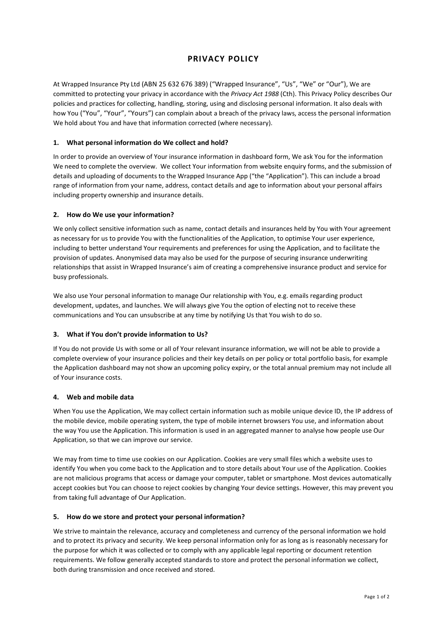# PRIVACY POLICY

At Wrapped Insurance Pty Ltd (ABN 25 632 676 389) ("Wrapped Insurance", "Us", "We" or "Our"), We are committed to protecting your privacy in accordance with the Privacy Act 1988 (Cth). This Privacy Policy describes Our policies and practices for collecting, handling, storing, using and disclosing personal information. It also deals with how You ("You", "Your", "Yours") can complain about a breach of the privacy laws, access the personal information We hold about You and have that information corrected (where necessary).

# 1. What personal information do We collect and hold?

In order to provide an overview of Your insurance information in dashboard form, We ask You for the information We need to complete the overview. We collect Your information from website enquiry forms, and the submission of details and uploading of documents to the Wrapped Insurance App ("the "Application"). This can include a broad range of information from your name, address, contact details and age to information about your personal affairs including property ownership and insurance details.

# 2. How do We use your information?

We only collect sensitive information such as name, contact details and insurances held by You with Your agreement as necessary for us to provide You with the functionalities of the Application, to optimise Your user experience, including to better understand Your requirements and preferences for using the Application, and to facilitate the provision of updates. Anonymised data may also be used for the purpose of securing insurance underwriting relationships that assist in Wrapped Insurance's aim of creating a comprehensive insurance product and service for busy professionals.

We also use Your personal information to manage Our relationship with You, e.g. emails regarding product development, updates, and launches. We will always give You the option of electing not to receive these communications and You can unsubscribe at any time by notifying Us that You wish to do so.

# 3. What if You don't provide information to Us?

If You do not provide Us with some or all of Your relevant insurance information, we will not be able to provide a complete overview of your insurance policies and their key details on per policy or total portfolio basis, for example the Application dashboard may not show an upcoming policy expiry, or the total annual premium may not include all of Your insurance costs.

# 4. Web and mobile data

When You use the Application, We may collect certain information such as mobile unique device ID, the IP address of the mobile device, mobile operating system, the type of mobile internet browsers You use, and information about the way You use the Application. This information is used in an aggregated manner to analyse how people use Our Application, so that we can improve our service.

We may from time to time use cookies on our Application. Cookies are very small files which a website uses to identify You when you come back to the Application and to store details about Your use of the Application. Cookies are not malicious programs that access or damage your computer, tablet or smartphone. Most devices automatically accept cookies but You can choose to reject cookies by changing Your device settings. However, this may prevent you from taking full advantage of Our Application.

# 5. How do we store and protect your personal information?

We strive to maintain the relevance, accuracy and completeness and currency of the personal information we hold and to protect its privacy and security. We keep personal information only for as long as is reasonably necessary for the purpose for which it was collected or to comply with any applicable legal reporting or document retention requirements. We follow generally accepted standards to store and protect the personal information we collect, both during transmission and once received and stored.